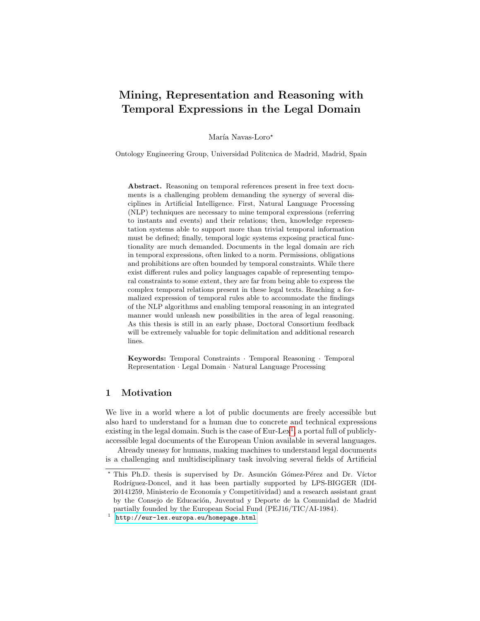# Mining, Representation and Reasoning with Temporal Expressions in the Legal Domain

María Navas-Loro\*

Ontology Engineering Group, Universidad Politcnica de Madrid, Madrid, Spain

Abstract. Reasoning on temporal references present in free text documents is a challenging problem demanding the synergy of several disciplines in Artificial Intelligence. First, Natural Language Processing (NLP) techniques are necessary to mine temporal expressions (referring to instants and events) and their relations; then, knowledge representation systems able to support more than trivial temporal information must be defined; finally, temporal logic systems exposing practical functionality are much demanded. Documents in the legal domain are rich in temporal expressions, often linked to a norm. Permissions, obligations and prohibitions are often bounded by temporal constraints. While there exist different rules and policy languages capable of representing temporal constraints to some extent, they are far from being able to express the complex temporal relations present in these legal texts. Reaching a formalized expression of temporal rules able to accommodate the findings of the NLP algorithms and enabling temporal reasoning in an integrated manner would unleash new possibilities in the area of legal reasoning. As this thesis is still in an early phase, Doctoral Consortium feedback will be extremely valuable for topic delimitation and additional research lines.

Keywords: Temporal Constraints · Temporal Reasoning · Temporal Representation · Legal Domain · Natural Language Processing

# 1 Motivation

We live in a world where a lot of public documents are freely accessible but also hard to understand for a human due to concrete and technical expressions existing in the legal domain. Such is the case of  $Eur-Lex<sup>1</sup>$  $Eur-Lex<sup>1</sup>$  $Eur-Lex<sup>1</sup>$ , a portal full of publiclyaccessible legal documents of the European Union available in several languages.

Already uneasy for humans, making machines to understand legal documents is a challenging and multidisciplinary task involving several fields of Artificial

<sup>\*</sup> This Ph.D. thesis is supervised by Dr. Asunción Gómez-Pérez and Dr. Víctor Rodríguez-Doncel, and it has been partially supported by LPS-BIGGER (IDI-20141259, Ministerio de Economía y Competitividad) and a research assistant grant by the Consejo de Educación, Juventud y Deporte de la Comunidad de Madrid partially founded by the European Social Fund (PEJ16/TIC/AI-1984).

<span id="page-0-0"></span><sup>1</sup> <http://eur-lex.europa.eu/homepage.html>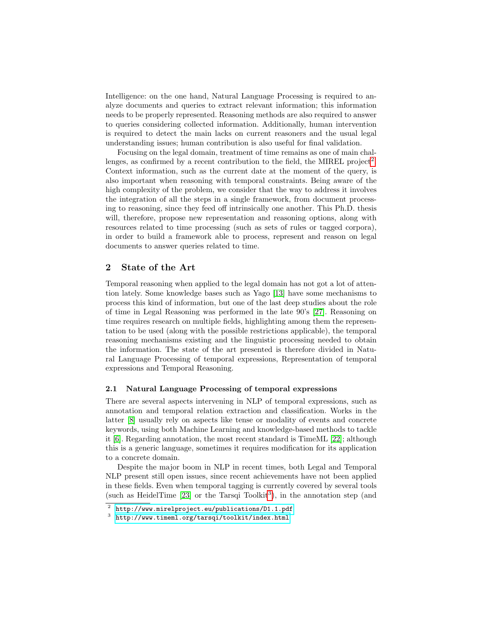Intelligence: on the one hand, Natural Language Processing is required to analyze documents and queries to extract relevant information; this information needs to be properly represented. Reasoning methods are also required to answer to queries considering collected information. Additionally, human intervention is required to detect the main lacks on current reasoners and the usual legal understanding issues; human contribution is also useful for final validation.

Focusing on the legal domain, treatment of time remains as one of main chal-lenges, as confirmed by a recent contribution to the field, the MIREL project<sup>[2](#page-1-0)</sup>. Context information, such as the current date at the moment of the query, is also important when reasoning with temporal constraints. Being aware of the high complexity of the problem, we consider that the way to address it involves the integration of all the steps in a single framework, from document processing to reasoning, since they feed off intrinsically one another. This Ph.D. thesis will, therefore, propose new representation and reasoning options, along with resources related to time processing (such as sets of rules or tagged corpora), in order to build a framework able to process, represent and reason on legal documents to answer queries related to time.

## <span id="page-1-2"></span>2 State of the Art

Temporal reasoning when applied to the legal domain has not got a lot of attention lately. Some knowledge bases such as Yago [\[13\]](#page-7-0) have some mechanisms to process this kind of information, but one of the last deep studies about the role of time in Legal Reasoning was performed in the late 90's [\[27\]](#page-7-1). Reasoning on time requires research on multiple fields, highlighting among them the representation to be used (along with the possible restrictions applicable), the temporal reasoning mechanisms existing and the linguistic processing needed to obtain the information. The state of the art presented is therefore divided in Natural Language Processing of temporal expressions, Representation of temporal expressions and Temporal Reasoning.

#### 2.1 Natural Language Processing of temporal expressions

There are several aspects intervening in NLP of temporal expressions, such as annotation and temporal relation extraction and classification. Works in the latter [\[8\]](#page-6-0) usually rely on aspects like tense or modality of events and concrete keywords, using both Machine Learning and knowledge-based methods to tackle it [\[6\]](#page-6-1). Regarding annotation, the most recent standard is TimeML [\[22\]](#page-7-2); although this is a generic language, sometimes it requires modification for its application to a concrete domain.

Despite the major boom in NLP in recent times, both Legal and Temporal NLP present still open issues, since recent achievements have not been applied in these fields. Even when temporal tagging is currently covered by several tools (such as HeidelTime  $[23]$  or the Tarsqi Toolkit<sup>[3](#page-1-1)</sup>), in the annotation step (and

<span id="page-1-0"></span> $^2$  <http://www.mirelproject.eu/publications/D1.1.pdf>

<span id="page-1-1"></span> $3$  <http://www.timeml.org/tarsqi/toolkit/index.html>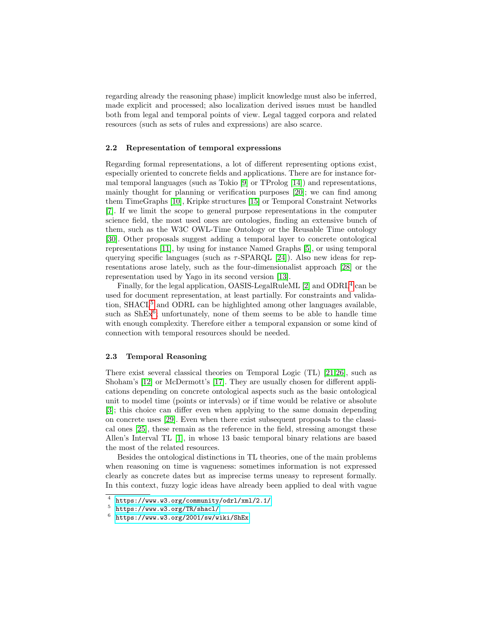regarding already the reasoning phase) implicit knowledge must also be inferred, made explicit and processed; also localization derived issues must be handled both from legal and temporal points of view. Legal tagged corpora and related resources (such as sets of rules and expressions) are also scarce.

#### 2.2 Representation of temporal expressions

Regarding formal representations, a lot of different representing options exist, especially oriented to concrete fields and applications. There are for instance formal temporal languages (such as Tokio [\[9\]](#page-6-2) or TProlog [\[14\]](#page-7-4)) and representations, mainly thought for planning or verification purposes [\[20\]](#page-7-5); we can find among them TimeGraphs [\[10\]](#page-6-3), Kripke structures [\[15\]](#page-7-6) or Temporal Constraint Networks [\[7\]](#page-6-4). If we limit the scope to general purpose representations in the computer science field, the most used ones are ontologies, finding an extensive bunch of them, such as the W3C OWL-Time Ontology or the Reusable Time ontology [\[30\]](#page-7-7). Other proposals suggest adding a temporal layer to concrete ontological representations [\[11\]](#page-7-8), by using for instance Named Graphs [\[5\]](#page-6-5), or using temporal querying specific languages (such as  $\tau$ -SPARQL [\[24\]](#page-7-9)). Also new ideas for representations arose lately, such as the four-dimensionalist approach [\[28\]](#page-7-10) or the representation used by Yago in its second version [\[13\]](#page-7-0).

Finally, for the legal application, OASIS-LegalRuleML [\[2\]](#page-6-6) and ODRL<sup>[4](#page-2-0)</sup> can be used for document representation, at least partially. For constraints and validation,  $\text{SHACL}^5$  $\text{SHACL}^5$  and ODRL can be highlighted among other languages available, such as  $\text{ShEx}^6$  $\text{ShEx}^6$ ; unfortunately, none of them seems to be able to handle time with enough complexity. Therefore either a temporal expansion or some kind of connection with temporal resources should be needed.

#### 2.3 Temporal Reasoning

There exist several classical theories on Temporal Logic (TL) [\[21,](#page-7-11)[26\]](#page-7-12), such as Shoham's [\[12\]](#page-7-13) or McDermott's [\[17\]](#page-7-14). They are usually chosen for different applications depending on concrete ontological aspects such as the basic ontological unit to model time (points or intervals) or if time would be relative or absolute [\[3\]](#page-6-7); this choice can differ even when applying to the same domain depending on concrete uses [\[29\]](#page-7-15). Even when there exist subsequent proposals to the classical ones [\[25\]](#page-7-16), these remain as the reference in the field, stressing amongst these Allen's Interval TL [\[1\]](#page-6-8), in whose 13 basic temporal binary relations are based the most of the related resources.

Besides the ontological distinctions in TL theories, one of the main problems when reasoning on time is vagueness: sometimes information is not expressed clearly as concrete dates but as imprecise terms uneasy to represent formally. In this context, fuzzy logic ideas have already been applied to deal with vague

<span id="page-2-0"></span><sup>4</sup> <https://www.w3.org/community/odrl/xml/2.1/>

<span id="page-2-1"></span><sup>5</sup> <https://www.w3.org/TR/shacl/>

<span id="page-2-2"></span> $6$  <https://www.w3.org/2001/sw/wiki/ShEx>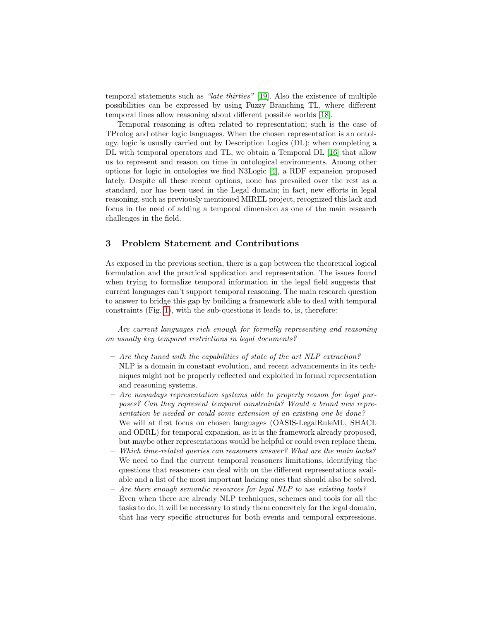temporal statements such as "late thirties" [\[19\]](#page-7-17). Also the existence of multiple possibilities can be expressed by using Fuzzy Branching TL, where different temporal lines allow reasoning about different possible worlds [\[18\]](#page-7-18).

Temporal reasoning is often related to representation; such is the case of TProlog and other logic languages. When the chosen representation is an ontology, logic is usually carried out by Description Logics (DL); when completing a DL with temporal operators and TL, we obtain a Temporal DL [\[16\]](#page-7-19) that allow us to represent and reason on time in ontological environments. Among other options for logic in ontologies we find N3Logic [\[4\]](#page-6-9), a RDF expansion proposed lately. Despite all these recent options, none has prevailed over the rest as a standard, nor has been used in the Legal domain; in fact, new efforts in legal reasoning, such as previously mentioned MIREL project, recognized this lack and focus in the need of adding a temporal dimension as one of the main research challenges in the field.

#### <span id="page-3-0"></span>3 Problem Statement and Contributions

As exposed in the previous section, there is a gap between the theoretical logical formulation and the practical application and representation. The issues found when trying to formalize temporal information in the legal field suggests that current languages can't support temporal reasoning. The main research question to answer to bridge this gap by building a framework able to deal with temporal constraints (Fig. [1\)](#page-4-0), with the sub-questions it leads to, is, therefore:

Are current languages rich enough for formally representing and reasoning on usually key temporal restrictions in legal documents?

- Are they tuned with the capabilities of state of the art NLP extraction? NLP is a domain in constant evolution, and recent advancements in its techniques might not be properly reflected and exploited in formal representation and reasoning systems.
- Are nowadays representation systems able to properly reason for legal purposes? Can they represent temporal constraints? Would a brand new representation be needed or could some extension of an existing one be done? We will at first focus on chosen languages (OASIS-LegalRuleML, SHACL and ODRL) for temporal expansion, as it is the framework already proposed, but maybe other representations would be helpful or could even replace them.
- $-$  Which time-related queries can reasoners answer? What are the main lacks? We need to find the current temporal reasoners limitations, identifying the questions that reasoners can deal with on the different representations available and a list of the most important lacking ones that should also be solved.
- $-$  Are there enough semantic resources for legal NLP to use existing tools? Even when there are already NLP techniques, schemes and tools for all the tasks to do, it will be necessary to study them concretely for the legal domain, that has very specific structures for both events and temporal expressions.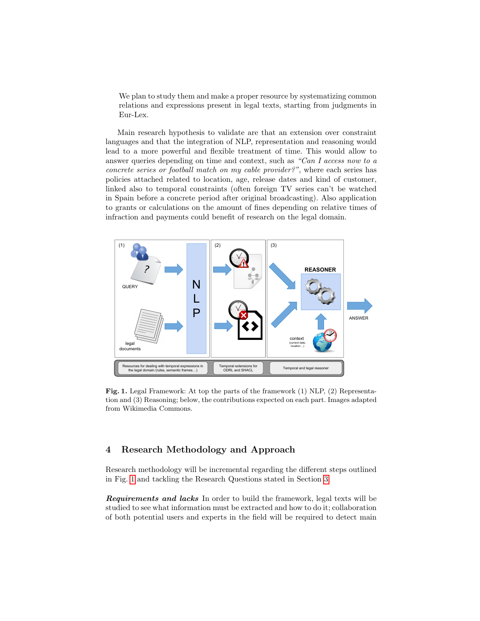We plan to study them and make a proper resource by systematizing common relations and expressions present in legal texts, starting from judgments in Eur-Lex.

Main research hypothesis to validate are that an extension over constraint languages and that the integration of NLP, representation and reasoning would lead to a more powerful and flexible treatment of time. This would allow to answer queries depending on time and context, such as "Can I access now to a concrete series or football match on my cable provider?", where each series has policies attached related to location, age, release dates and kind of customer, linked also to temporal constraints (often foreign TV series can't be watched in Spain before a concrete period after original broadcasting). Also application to grants or calculations on the amount of fines depending on relative times of infraction and payments could benefit of research on the legal domain.



<span id="page-4-0"></span>Fig. 1. Legal Framework: At top the parts of the framework (1) NLP, (2) Representation and (3) Reasoning; below, the contributions expected on each part. Images adapted from Wikimedia Commons.

# 4 Research Methodology and Approach

Research methodology will be incremental regarding the different steps outlined in Fig. [1](#page-4-0) and tackling the Research Questions stated in Section [3:](#page-3-0)

Requirements and lacks In order to build the framework, legal texts will be studied to see what information must be extracted and how to do it; collaboration of both potential users and experts in the field will be required to detect main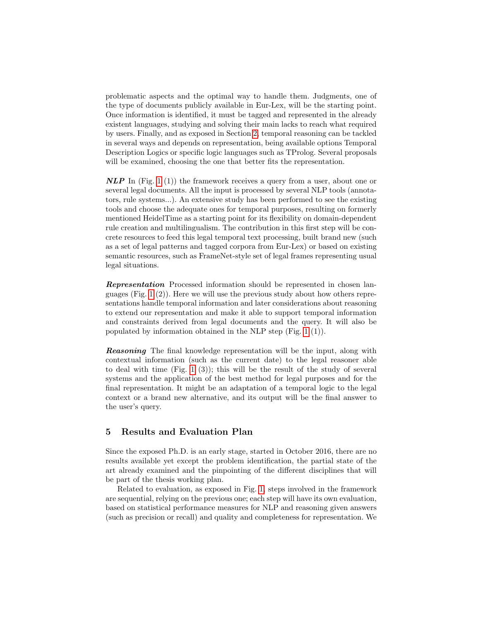problematic aspects and the optimal way to handle them. Judgments, one of the type of documents publicly available in Eur-Lex, will be the starting point. Once information is identified, it must be tagged and represented in the already existent languages, studying and solving their main lacks to reach what required by users. Finally, and as exposed in Section [2,](#page-1-2) temporal reasoning can be tackled in several ways and depends on representation, being available options Temporal Description Logics or specific logic languages such as TProlog. Several proposals will be examined, choosing the one that better fits the representation.

 $\bf NLP$  In (Fig. [1](#page-4-0) (1)) the framework receives a query from a user, about one or several legal documents. All the input is processed by several NLP tools (annotators, rule systems...). An extensive study has been performed to see the existing tools and choose the adequate ones for temporal purposes, resulting on formerly mentioned HeidelTime as a starting point for its flexibility on domain-dependent rule creation and multilingualism. The contribution in this first step will be concrete resources to feed this legal temporal text processing, built brand new (such as a set of legal patterns and tagged corpora from Eur-Lex) or based on existing semantic resources, such as FrameNet-style set of legal frames representing usual legal situations.

Representation Processed information should be represented in chosen languages (Fig.  $1(2)$ ). Here we will use the previous study about how others representations handle temporal information and later considerations about reasoning to extend our representation and make it able to support temporal information and constraints derived from legal documents and the query. It will also be populated by information obtained in the NLP step (Fig. [1](#page-4-0) (1)).

Reasoning The final knowledge representation will be the input, along with contextual information (such as the current date) to the legal reasoner able to deal with time  $(Fig. 1 (3))$  $(Fig. 1 (3))$  $(Fig. 1 (3))$ ; this will be the result of the study of several systems and the application of the best method for legal purposes and for the final representation. It might be an adaptation of a temporal logic to the legal context or a brand new alternative, and its output will be the final answer to the user's query.

## 5 Results and Evaluation Plan

Since the exposed Ph.D. is an early stage, started in October 2016, there are no results available yet except the problem identification, the partial state of the art already examined and the pinpointing of the different disciplines that will be part of the thesis working plan.

Related to evaluation, as exposed in Fig. [1,](#page-4-0) steps involved in the framework are sequential, relying on the previous one; each step will have its own evaluation, based on statistical performance measures for NLP and reasoning given answers (such as precision or recall) and quality and completeness for representation. We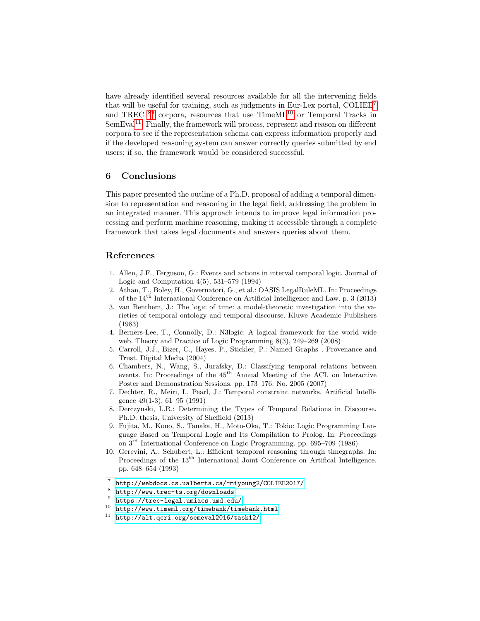have already identified several resources available for all the intervening fields that will be useful for training, such as judgments in Eur-Lex portal, COLIEE[7](#page-6-10) and TREC <sup>[8](#page-6-11)[9](#page-6-12)</sup> corpora, resources that use TimeML<sup>[10](#page-6-13)</sup> or Temporal Tracks in SemEval<sup>[11](#page-6-14)</sup>. Finally, the framework will process, represent and reason on different corpora to see if the representation schema can express information properly and if the developed reasoning system can answer correctly queries submitted by end users; if so, the framework would be considered successful.

## 6 Conclusions

This paper presented the outline of a Ph.D. proposal of adding a temporal dimension to representation and reasoning in the legal field, addressing the problem in an integrated manner. This approach intends to improve legal information processing and perform machine reasoning, making it accessible through a complete framework that takes legal documents and answers queries about them.

## References

- <span id="page-6-8"></span>1. Allen, J.F., Ferguson, G.: Events and actions in interval temporal logic. Journal of Logic and Computation 4(5), 531–579 (1994)
- <span id="page-6-6"></span>2. Athan, T., Boley, H., Governatori, G., et al.: OASIS LegalRuleML. In: Proceedings of the 14th International Conference on Artificial Intelligence and Law. p. 3 (2013)
- <span id="page-6-7"></span>3. van Benthem, J.: The logic of time: a model-theoretic investigation into the varieties of temporal ontology and temporal discourse. Kluwe Academic Publishers (1983)
- <span id="page-6-9"></span>4. Berners-Lee, T., Connolly, D.: N3logic: A logical framework for the world wide web. Theory and Practice of Logic Programming 8(3), 249–269 (2008)
- <span id="page-6-5"></span>5. Carroll, J.J., Bizer, C., Hayes, P., Stickler, P.: Named Graphs , Provenance and Trust. Digital Media (2004)
- <span id="page-6-1"></span>6. Chambers, N., Wang, S., Jurafsky, D.: Classifying temporal relations between events. In: Proceedings of the  $45<sup>th</sup>$  Annual Meeting of the ACL on Interactive Poster and Demonstration Sessions. pp. 173–176. No. 2005 (2007)
- <span id="page-6-4"></span>7. Dechter, R., Meiri, I., Pearl, J.: Temporal constraint networks. Artificial Intelligence 49(1-3), 61–95 (1991)
- <span id="page-6-0"></span>8. Derczynski, L.R.: Determining the Types of Temporal Relations in Discourse. Ph.D. thesis, University of Sheffield (2013)
- <span id="page-6-2"></span>9. Fujita, M., Kono, S., Tanaka, H., Moto-Oka, T.: Tokio: Logic Programming Language Based on Temporal Logic and Its Compilation to Prolog. In: Proceedings on 3rd International Conference on Logic Programming. pp. 695–709 (1986)
- <span id="page-6-3"></span>10. Gerevini, A., Schubert, L.: Efficient temporal reasoning through timegraphs. In: Proceedings of the 13<sup>th</sup> International Joint Conference on Artifical Intelligence. pp. 648–654 (1993)

<span id="page-6-10"></span><sup>7</sup> <http://webdocs.cs.ualberta.ca/~miyoung2/COLIEE2017/>

<span id="page-6-11"></span><sup>8</sup> <http://www.trec-ts.org/downloads>

<span id="page-6-12"></span><sup>9</sup> <https://trec-legal.umiacs.umd.edu/>

<span id="page-6-13"></span> $10$  <http://www.timeml.org/timebank/timebank.html>

<span id="page-6-14"></span><sup>11</sup> <http://alt.qcri.org/semeval2016/task12/>